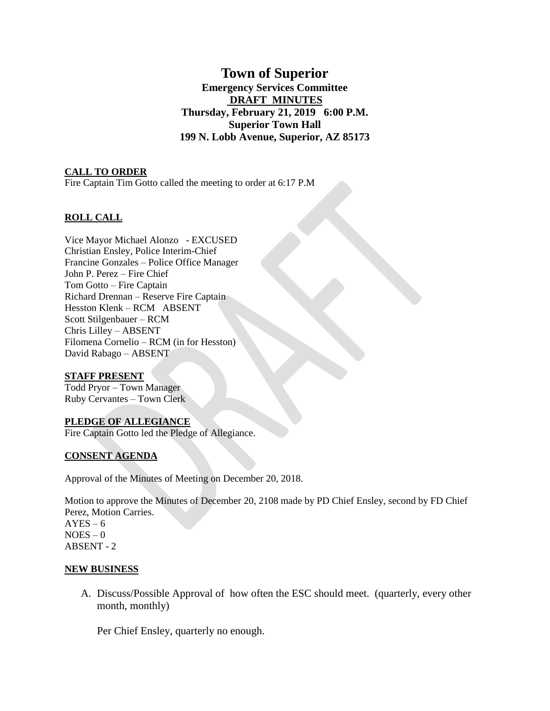# **Town of Superior Emergency Services Committee DRAFT MINUTES Thursday, February 21, 2019 6:00 P.M. Superior Town Hall 199 N. Lobb Avenue, Superior, AZ 85173**

#### **CALL TO ORDER**

Fire Captain Tim Gotto called the meeting to order at 6:17 P.M

## **ROLL CALL**

Vice Mayor Michael Alonzo - EXCUSED Christian Ensley, Police Interim-Chief Francine Gonzales – Police Office Manager John P. Perez – Fire Chief Tom Gotto – Fire Captain Richard Drennan – Reserve Fire Captain Hesston Klenk – RCM ABSENT Scott Stilgenbauer – RCM Chris Lilley – ABSENT Filomena Cornelio – RCM (in for Hesston) David Rabago – ABSENT

#### **STAFF PRESENT**

Todd Pryor – Town Manager Ruby Cervantes – Town Clerk

#### **PLEDGE OF ALLEGIANCE**

Fire Captain Gotto led the Pledge of Allegiance.

#### **CONSENT AGENDA**

Approval of the Minutes of Meeting on December 20, 2018.

Motion to approve the Minutes of December 20, 2108 made by PD Chief Ensley, second by FD Chief Perez, Motion Carries.  $AYES - 6$  $NOES - 0$ ABSENT - 2

#### **NEW BUSINESS**

A. Discuss/Possible Approval of how often the ESC should meet. (quarterly, every other month, monthly)

Per Chief Ensley, quarterly no enough.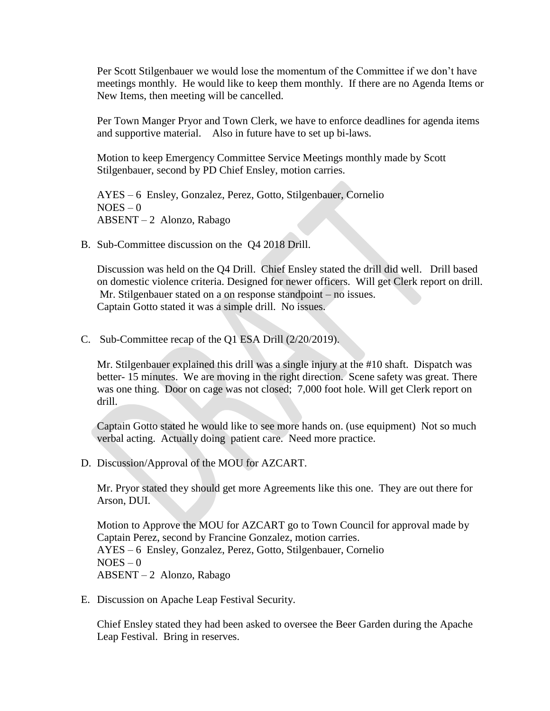Per Scott Stilgenbauer we would lose the momentum of the Committee if we don't have meetings monthly. He would like to keep them monthly. If there are no Agenda Items or New Items, then meeting will be cancelled.

Per Town Manger Pryor and Town Clerk, we have to enforce deadlines for agenda items and supportive material. Also in future have to set up bi-laws.

Motion to keep Emergency Committee Service Meetings monthly made by Scott Stilgenbauer, second by PD Chief Ensley, motion carries.

AYES – 6 Ensley, Gonzalez, Perez, Gotto, Stilgenbauer, Cornelio  $NOES - 0$ ABSENT – 2 Alonzo, Rabago

B. Sub-Committee discussion on the Q4 2018 Drill.

Discussion was held on the Q4 Drill. Chief Ensley stated the drill did well. Drill based on domestic violence criteria. Designed for newer officers. Will get Clerk report on drill. Mr. Stilgenbauer stated on a on response standpoint – no issues. Captain Gotto stated it was a simple drill. No issues.

C. Sub-Committee recap of the Q1 ESA Drill (2/20/2019).

Mr. Stilgenbauer explained this drill was a single injury at the #10 shaft. Dispatch was better- 15 minutes. We are moving in the right direction. Scene safety was great. There was one thing. Door on cage was not closed; 7,000 foot hole. Will get Clerk report on drill.

Captain Gotto stated he would like to see more hands on. (use equipment) Not so much verbal acting. Actually doing patient care. Need more practice.

D. Discussion/Approval of the MOU for AZCART.

Mr. Pryor stated they should get more Agreements like this one. They are out there for Arson, DUI.

Motion to Approve the MOU for AZCART go to Town Council for approval made by Captain Perez, second by Francine Gonzalez, motion carries. AYES – 6 Ensley, Gonzalez, Perez, Gotto, Stilgenbauer, Cornelio  $NOES - 0$ ABSENT – 2 Alonzo, Rabago

E. Discussion on Apache Leap Festival Security.

Chief Ensley stated they had been asked to oversee the Beer Garden during the Apache Leap Festival. Bring in reserves.